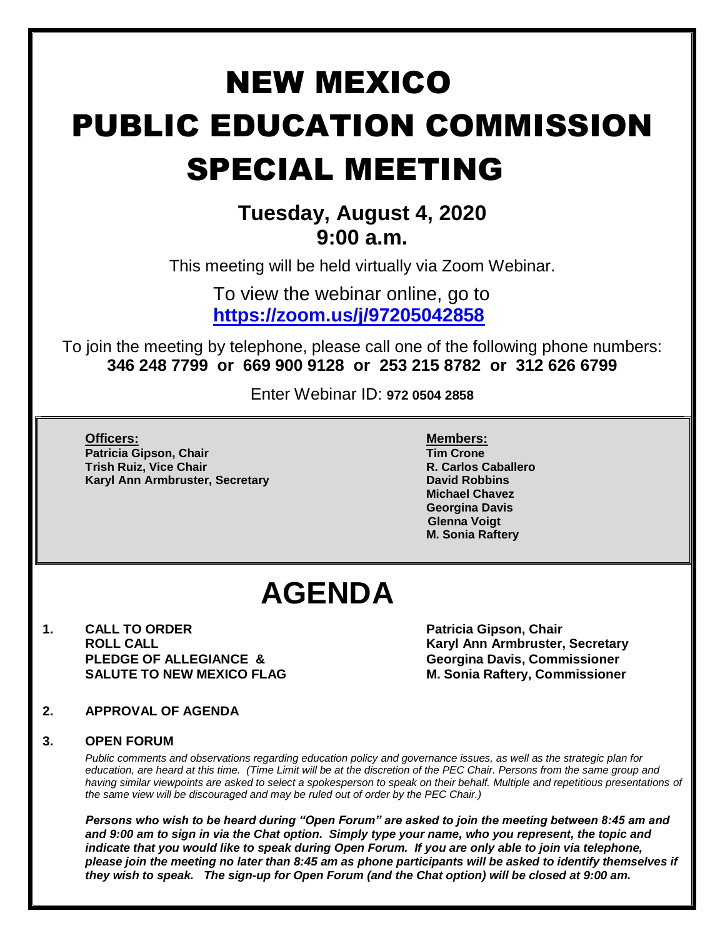# NEW MEXICO PUBLIC EDUCATION COMMISSION SPECIAL MEETING

### **Tuesday, August 4, 2020 9:00 a.m.**

This meeting will be held virtually via Zoom Webinar.

To view the webinar online, go to **<https://zoom.us/j/97205042858>**

To join the meeting by telephone, please call one of the following phone numbers: **346 248 7799 or 669 900 9128 or 253 215 8782 or 312 626 6799**

Enter Webinar ID: **972 0504 2858**

**Officers: Members: Patricia Gipson, Chair Tim Crone Trish Ruiz, Vice Chair R. Carlos Caballero Karyl Ann Armbruster, Secretary <b>David Robbins David Robbins** 

**Michael Chavez Georgina Davis Glenna Voigt M. Sonia Raftery**

## **AGENDA**

**1. CALL TO ORDER Patricia Gipson, Chair PLEDGE OF ALLEGIANCE & Georgina Davis, Commissioner**

**ROLL CALL Karyl Ann Armbruster, Secretary SALUTE TO NEW MEXICO FLAG M. Sonia Raftery, Commissioner**

**2. APPROVAL OF AGENDA** 

#### **3. OPEN FORUM**

*Public comments and observations regarding education policy and governance issues, as well as the strategic plan for education, are heard at this time. (Time Limit will be at the discretion of the PEC Chair. Persons from the same group and having similar viewpoints are asked to select a spokesperson to speak on their behalf. Multiple and repetitious presentations of the same view will be discouraged and may be ruled out of order by the PEC Chair.)*

*Persons who wish to be heard during "Open Forum" are asked to join the meeting between 8:45 am and and 9:00 am to sign in via the Chat option. Simply type your name, who you represent, the topic and indicate that you would like to speak during Open Forum. If you are only able to join via telephone, please join the meeting no later than 8:45 am as phone participants will be asked to identify themselves if they wish to speak. The sign-up for Open Forum (and the Chat option) will be closed at 9:00 am.*